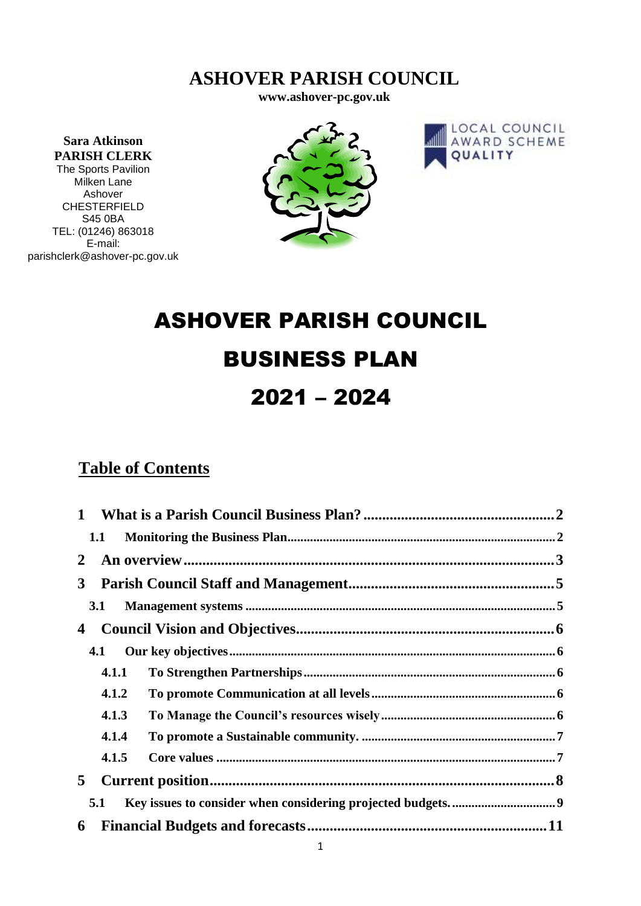# **ASHOVER PARISH COUNCIL**

**www.ashover-pc.gov.uk**

**Sara Atkinson PARISH CLERK** The Sports Pavilion Milken Lane Ashover CHESTERFIELD S45 0BA TEL: (01246) 863018 E-mail: parishclerk@ashover-pc.gov.uk





# ASHOVER PARISH COUNCIL BUSINESS PLAN 2021 – 2024

# **Table of Contents**

| 1            |       |  |
|--------------|-------|--|
| 1.1          |       |  |
| $\mathbf{2}$ |       |  |
| $3^{\circ}$  |       |  |
| 3.1          |       |  |
| 4            |       |  |
| 4.1          |       |  |
|              | 4.1.1 |  |
|              | 4.1.2 |  |
|              | 4.1.3 |  |
|              | 4.1.4 |  |
|              | 4.1.5 |  |
| 5            |       |  |
| 5.1          |       |  |
| 6            |       |  |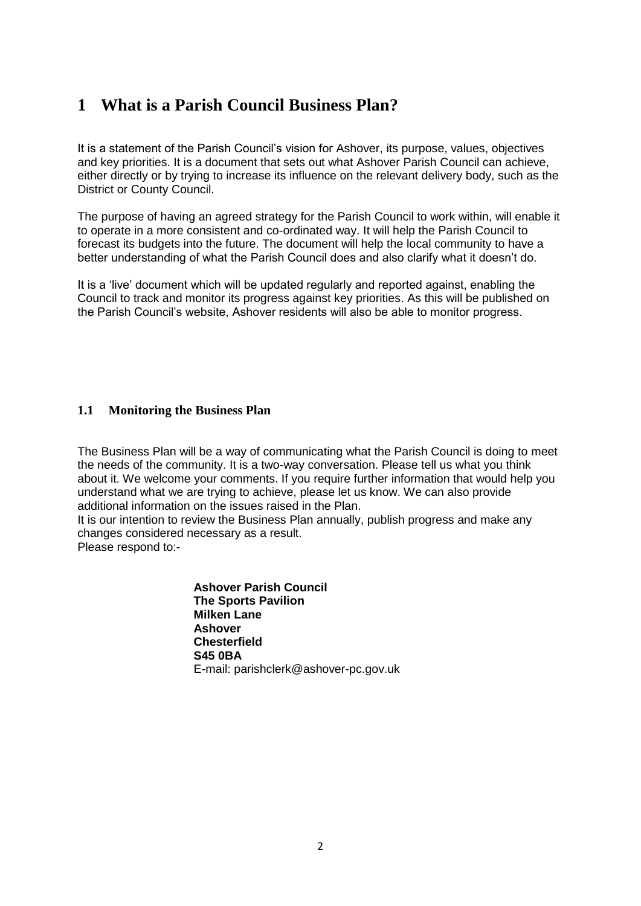### <span id="page-1-0"></span>**1 What is a Parish Council Business Plan?**

It is a statement of the Parish Council's vision for Ashover, its purpose, values, objectives and key priorities. It is a document that sets out what Ashover Parish Council can achieve, either directly or by trying to increase its influence on the relevant delivery body, such as the District or County Council.

The purpose of having an agreed strategy for the Parish Council to work within, will enable it to operate in a more consistent and co-ordinated way. It will help the Parish Council to forecast its budgets into the future. The document will help the local community to have a better understanding of what the Parish Council does and also clarify what it doesn't do.

It is a 'live' document which will be updated regularly and reported against, enabling the Council to track and monitor its progress against key priorities. As this will be published on the Parish Council's website, Ashover residents will also be able to monitor progress.

#### <span id="page-1-1"></span>**1.1 Monitoring the Business Plan**

The Business Plan will be a way of communicating what the Parish Council is doing to meet the needs of the community. It is a two-way conversation. Please tell us what you think about it. We welcome your comments. If you require further information that would help you understand what we are trying to achieve, please let us know. We can also provide additional information on the issues raised in the Plan.

It is our intention to review the Business Plan annually, publish progress and make any changes considered necessary as a result.

Please respond to:-

**Ashover Parish Council The Sports Pavilion Milken Lane Ashover Chesterfield S45 0BA** E-mail: parishclerk@ashover-pc.gov.uk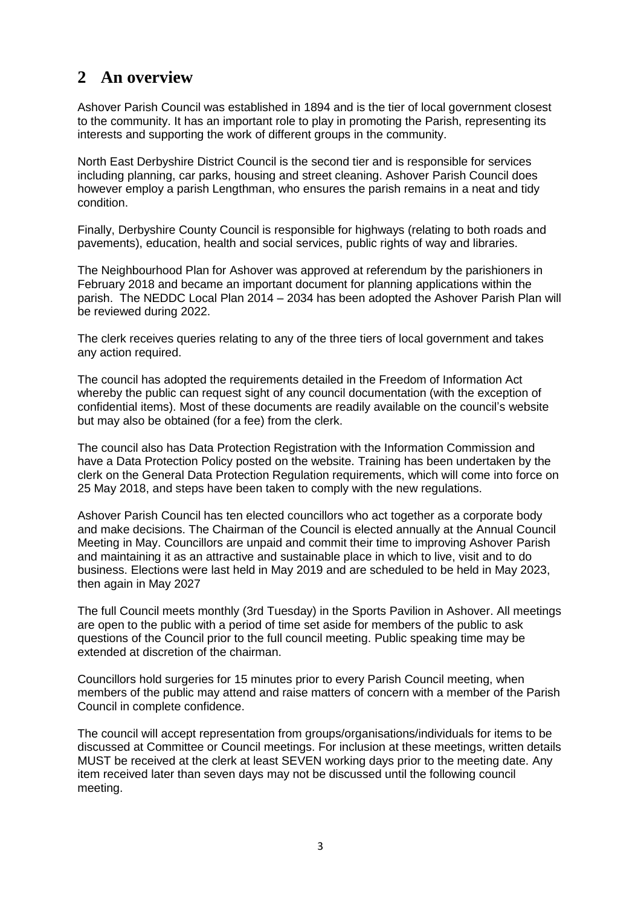# <span id="page-2-0"></span>**2 An overview**

Ashover Parish Council was established in 1894 and is the tier of local government closest to the community. It has an important role to play in promoting the Parish, representing its interests and supporting the work of different groups in the community.

North East Derbyshire District Council is the second tier and is responsible for services including planning, car parks, housing and street cleaning. Ashover Parish Council does however employ a parish Lengthman, who ensures the parish remains in a neat and tidy condition.

Finally, Derbyshire County Council is responsible for highways (relating to both roads and pavements), education, health and social services, public rights of way and libraries.

The Neighbourhood Plan for Ashover was approved at referendum by the parishioners in February 2018 and became an important document for planning applications within the parish. The NEDDC Local Plan 2014 – 2034 has been adopted the Ashover Parish Plan will be reviewed during 2022.

The clerk receives queries relating to any of the three tiers of local government and takes any action required.

The council has adopted the requirements detailed in the Freedom of Information Act whereby the public can request sight of any council documentation (with the exception of confidential items). Most of these documents are readily available on the council's website but may also be obtained (for a fee) from the clerk.

The council also has Data Protection Registration with the Information Commission and have a Data Protection Policy posted on the website. Training has been undertaken by the clerk on the General Data Protection Regulation requirements, which will come into force on 25 May 2018, and steps have been taken to comply with the new regulations.

Ashover Parish Council has ten elected councillors who act together as a corporate body and make decisions. The Chairman of the Council is elected annually at the Annual Council Meeting in May. Councillors are unpaid and commit their time to improving Ashover Parish and maintaining it as an attractive and sustainable place in which to live, visit and to do business. Elections were last held in May 2019 and are scheduled to be held in May 2023, then again in May 2027

The full Council meets monthly (3rd Tuesday) in the Sports Pavilion in Ashover. All meetings are open to the public with a period of time set aside for members of the public to ask questions of the Council prior to the full council meeting. Public speaking time may be extended at discretion of the chairman.

Councillors hold surgeries for 15 minutes prior to every Parish Council meeting, when members of the public may attend and raise matters of concern with a member of the Parish Council in complete confidence.

The council will accept representation from groups/organisations/individuals for items to be discussed at Committee or Council meetings. For inclusion at these meetings, written details MUST be received at the clerk at least SEVEN working days prior to the meeting date. Any item received later than seven days may not be discussed until the following council meeting.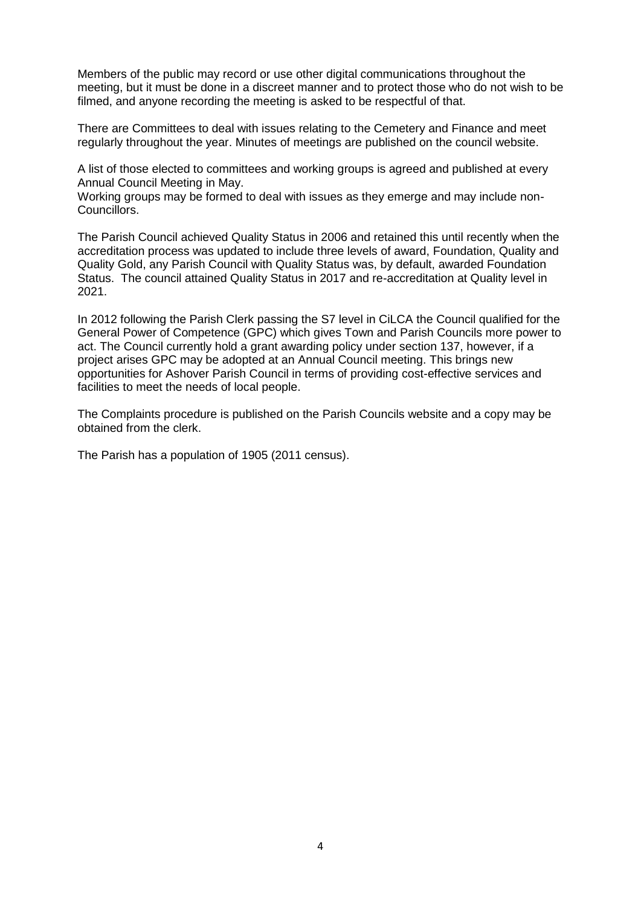Members of the public may record or use other digital communications throughout the meeting, but it must be done in a discreet manner and to protect those who do not wish to be filmed, and anyone recording the meeting is asked to be respectful of that.

There are Committees to deal with issues relating to the Cemetery and Finance and meet regularly throughout the year. Minutes of meetings are published on the council website.

A list of those elected to committees and working groups is agreed and published at every Annual Council Meeting in May.

Working groups may be formed to deal with issues as they emerge and may include non-Councillors.

The Parish Council achieved Quality Status in 2006 and retained this until recently when the accreditation process was updated to include three levels of award, Foundation, Quality and Quality Gold, any Parish Council with Quality Status was, by default, awarded Foundation Status. The council attained Quality Status in 2017 and re-accreditation at Quality level in 2021.

In 2012 following the Parish Clerk passing the S7 level in CiLCA the Council qualified for the General Power of Competence (GPC) which gives Town and Parish Councils more power to act. The Council currently hold a grant awarding policy under section 137, however, if a project arises GPC may be adopted at an Annual Council meeting. This brings new opportunities for Ashover Parish Council in terms of providing cost-effective services and facilities to meet the needs of local people.

The Complaints procedure is published on the Parish Councils website and a copy may be obtained from the clerk.

The Parish has a population of 1905 (2011 census).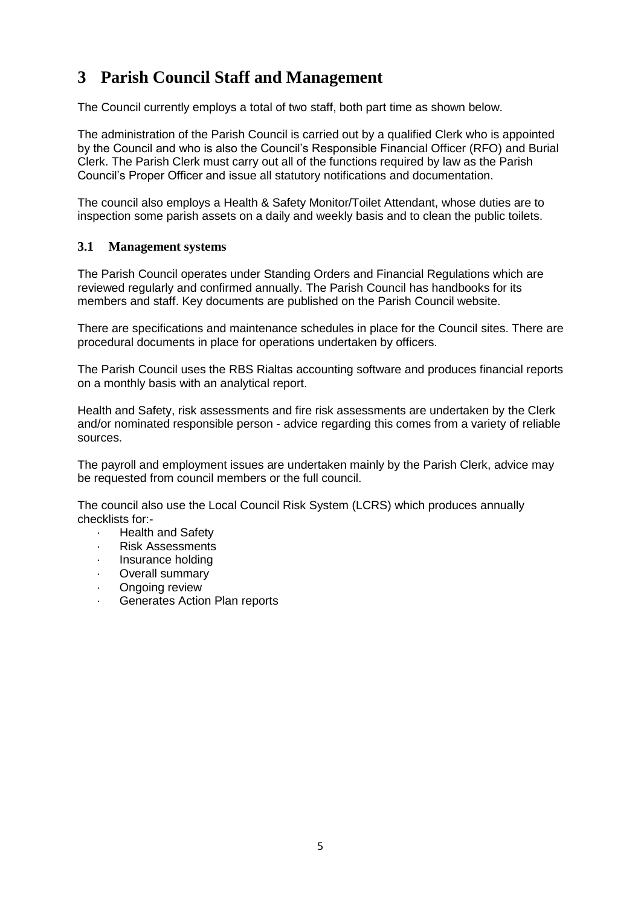# <span id="page-4-0"></span>**3 Parish Council Staff and Management**

The Council currently employs a total of two staff, both part time as shown below.

The administration of the Parish Council is carried out by a qualified Clerk who is appointed by the Council and who is also the Council's Responsible Financial Officer (RFO) and Burial Clerk. The Parish Clerk must carry out all of the functions required by law as the Parish Council's Proper Officer and issue all statutory notifications and documentation.

The council also employs a Health & Safety Monitor/Toilet Attendant, whose duties are to inspection some parish assets on a daily and weekly basis and to clean the public toilets.

#### <span id="page-4-1"></span>**3.1 Management systems**

The Parish Council operates under Standing Orders and Financial Regulations which are reviewed regularly and confirmed annually. The Parish Council has handbooks for its members and staff. Key documents are published on the Parish Council website.

There are specifications and maintenance schedules in place for the Council sites. There are procedural documents in place for operations undertaken by officers.

The Parish Council uses the RBS Rialtas accounting software and produces financial reports on a monthly basis with an analytical report.

Health and Safety, risk assessments and fire risk assessments are undertaken by the Clerk and/or nominated responsible person - advice regarding this comes from a variety of reliable sources.

The payroll and employment issues are undertaken mainly by the Parish Clerk, advice may be requested from council members or the full council.

The council also use the Local Council Risk System (LCRS) which produces annually checklists for:-

- · Health and Safety
- · Risk Assessments
- Insurance holding
- Overall summary
- Ongoing review
- Generates Action Plan reports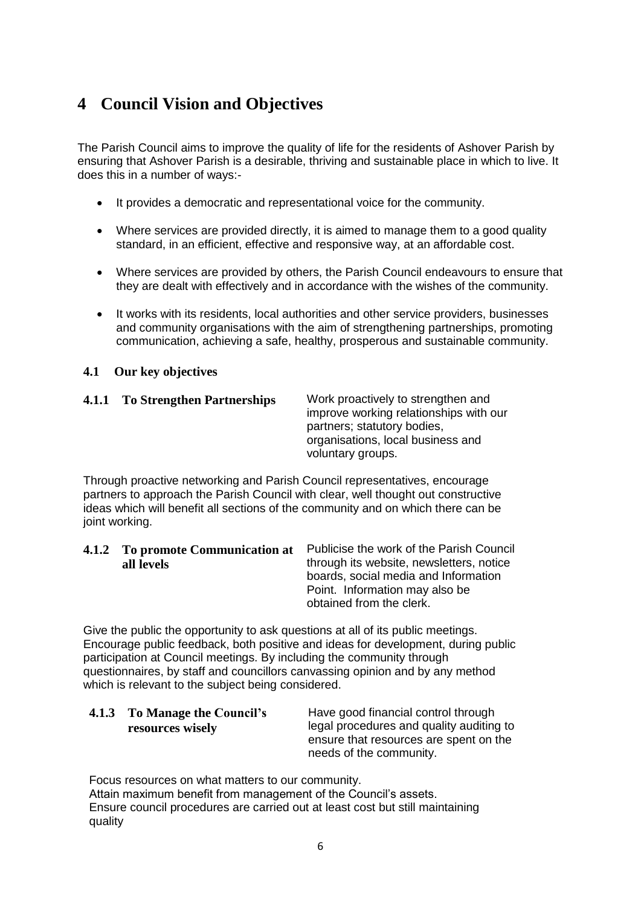# <span id="page-5-0"></span>**4 Council Vision and Objectives**

The Parish Council aims to improve the quality of life for the residents of Ashover Parish by ensuring that Ashover Parish is a desirable, thriving and sustainable place in which to live. It does this in a number of ways:-

- It provides a democratic and representational voice for the community.
- Where services are provided directly, it is aimed to manage them to a good quality standard, in an efficient, effective and responsive way, at an affordable cost.
- Where services are provided by others, the Parish Council endeavours to ensure that they are dealt with effectively and in accordance with the wishes of the community.
- It works with its residents, local authorities and other service providers, businesses and community organisations with the aim of strengthening partnerships, promoting communication, achieving a safe, healthy, prosperous and sustainable community.

#### <span id="page-5-1"></span>**4.1 Our key objectives**

<span id="page-5-2"></span>

| 4.1.1 To Strengthen Partnerships | Work proactively to strengthen and<br>improve working relationships with our<br>partners; statutory bodies,<br>organisations, local business and |
|----------------------------------|--------------------------------------------------------------------------------------------------------------------------------------------------|
|                                  |                                                                                                                                                  |
|                                  | voluntary groups.                                                                                                                                |

Through proactive networking and Parish Council representatives, encourage partners to approach the Parish Council with clear, well thought out constructive ideas which will benefit all sections of the community and on which there can be joint working.

<span id="page-5-3"></span>

| 4.1.2 To promote Communication at | Publicise the work of the Parish Council |
|-----------------------------------|------------------------------------------|
| all levels                        | through its website, newsletters, notice |
|                                   | boards, social media and Information     |
|                                   | Point. Information may also be           |
|                                   | obtained from the clerk.                 |

Give the public the opportunity to ask questions at all of its public meetings. Encourage public feedback, both positive and ideas for development, during public participation at Council meetings. By including the community through questionnaires, by staff and councillors canvassing opinion and by any method which is relevant to the subject being considered.

<span id="page-5-4"></span>

| 4.1.3 To Manage the Council's | Have good financial control through      |
|-------------------------------|------------------------------------------|
| resources wisely              | legal procedures and quality auditing to |
|                               | ensure that resources are spent on the   |
|                               | needs of the community.                  |

Focus resources on what matters to our community. Attain maximum benefit from management of the Council's assets.

Ensure council procedures are carried out at least cost but still maintaining quality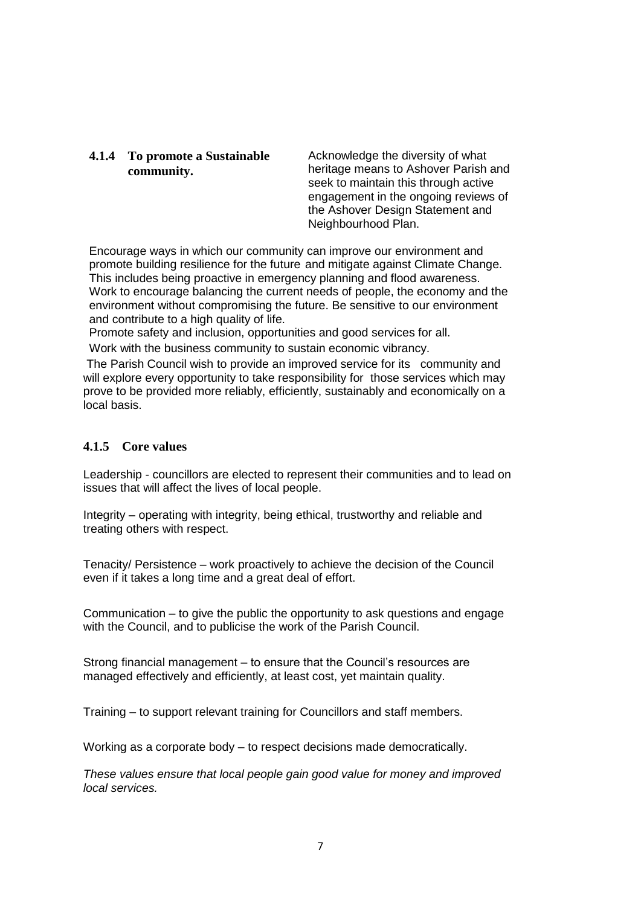#### <span id="page-6-0"></span>**4.1.4 To promote a Sustainable community.**

Acknowledge the diversity of what heritage means to Ashover Parish and seek to maintain this through active engagement in the ongoing reviews of the Ashover Design Statement and Neighbourhood Plan.

Encourage ways in which our community can improve our environment and promote building resilience for the future and mitigate against Climate Change. This includes being proactive in emergency planning and flood awareness. Work to encourage balancing the current needs of people, the economy and the environment without compromising the future. Be sensitive to our environment and contribute to a high quality of life.

Promote safety and inclusion, opportunities and good services for all.

Work with the business community to sustain economic vibrancy.

The Parish Council wish to provide an improved service for its community and will explore every opportunity to take responsibility for those services which may prove to be provided more reliably, efficiently, sustainably and economically on a local basis.

#### <span id="page-6-1"></span>**4.1.5 Core values**

Leadership - councillors are elected to represent their communities and to lead on issues that will affect the lives of local people.

Integrity – operating with integrity, being ethical, trustworthy and reliable and treating others with respect.

Tenacity/ Persistence – work proactively to achieve the decision of the Council even if it takes a long time and a great deal of effort.

Communication – to give the public the opportunity to ask questions and engage with the Council, and to publicise the work of the Parish Council.

Strong financial management – to ensure that the Council's resources are managed effectively and efficiently, at least cost, yet maintain quality.

Training – to support relevant training for Councillors and staff members.

Working as a corporate body – to respect decisions made democratically.

*These values ensure that local people gain good value for money and improved local services.*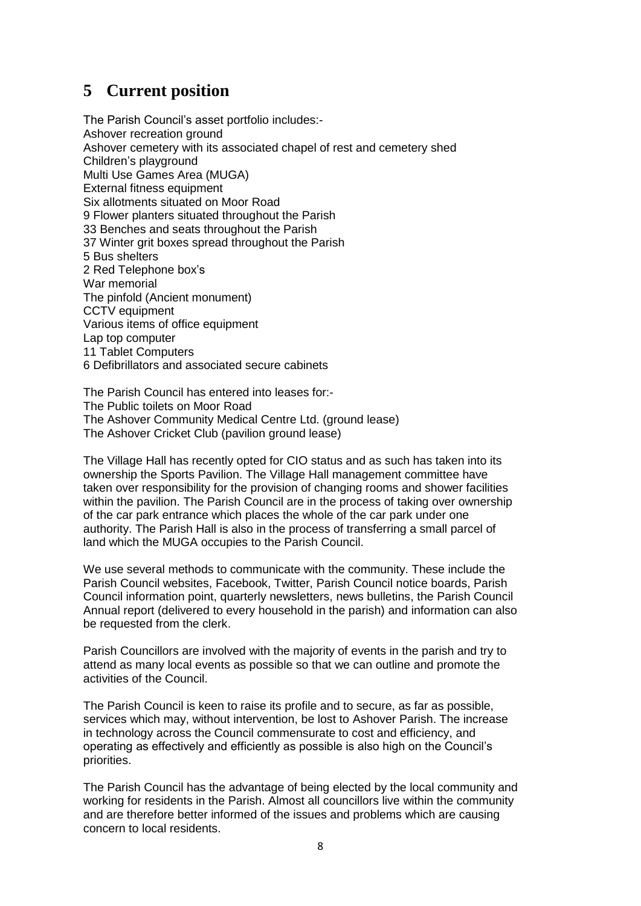### <span id="page-7-0"></span>**5 Current position**

The Parish Council's asset portfolio includes:- Ashover recreation ground Ashover cemetery with its associated chapel of rest and cemetery shed Children's playground Multi Use Games Area (MUGA) External fitness equipment Six allotments situated on Moor Road 9 Flower planters situated throughout the Parish 33 Benches and seats throughout the Parish 37 Winter grit boxes spread throughout the Parish 5 Bus shelters 2 Red Telephone box's War memorial The pinfold (Ancient monument) CCTV equipment Various items of office equipment Lap top computer 11 Tablet Computers 6 Defibrillators and associated secure cabinets

The Parish Council has entered into leases for:- The Public toilets on Moor Road The Ashover Community Medical Centre Ltd. (ground lease) The Ashover Cricket Club (pavilion ground lease)

The Village Hall has recently opted for CIO status and as such has taken into its ownership the Sports Pavilion. The Village Hall management committee have taken over responsibility for the provision of changing rooms and shower facilities within the pavilion. The Parish Council are in the process of taking over ownership of the car park entrance which places the whole of the car park under one authority. The Parish Hall is also in the process of transferring a small parcel of land which the MUGA occupies to the Parish Council.

We use several methods to communicate with the community. These include the Parish Council websites, Facebook, Twitter, Parish Council notice boards, Parish Council information point, quarterly newsletters, news bulletins, the Parish Council Annual report (delivered to every household in the parish) and information can also be requested from the clerk.

Parish Councillors are involved with the majority of events in the parish and try to attend as many local events as possible so that we can outline and promote the activities of the Council.

The Parish Council is keen to raise its profile and to secure, as far as possible, services which may, without intervention, be lost to Ashover Parish. The increase in technology across the Council commensurate to cost and efficiency, and operating as effectively and efficiently as possible is also high on the Council's priorities.

The Parish Council has the advantage of being elected by the local community and working for residents in the Parish. Almost all councillors live within the community and are therefore better informed of the issues and problems which are causing concern to local residents.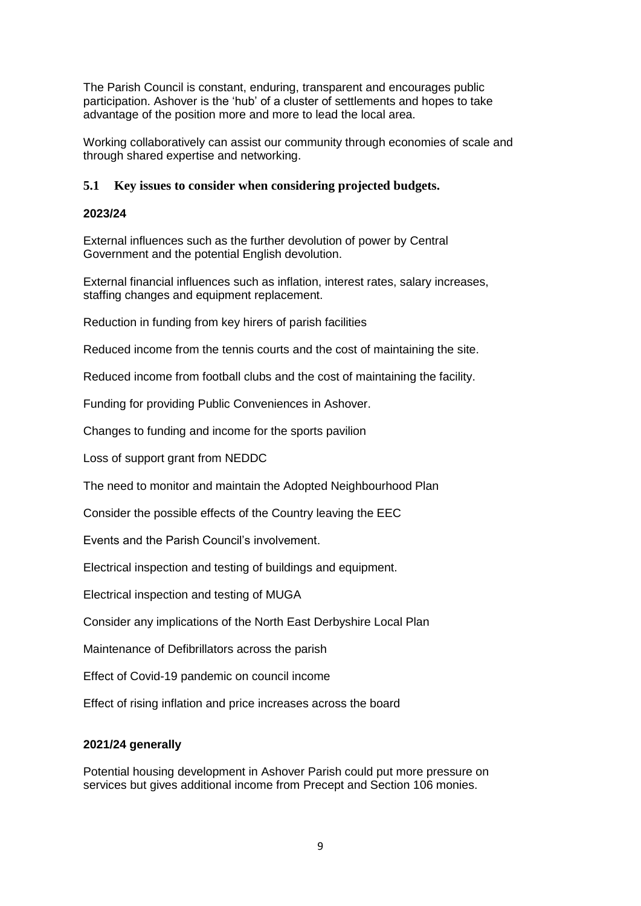The Parish Council is constant, enduring, transparent and encourages public participation. Ashover is the 'hub' of a cluster of settlements and hopes to take advantage of the position more and more to lead the local area.

Working collaboratively can assist our community through economies of scale and through shared expertise and networking.

#### <span id="page-8-0"></span>**5.1 Key issues to consider when considering projected budgets.**

#### **2023/24**

External influences such as the further devolution of power by Central Government and the potential English devolution.

External financial influences such as inflation, interest rates, salary increases, staffing changes and equipment replacement.

Reduction in funding from key hirers of parish facilities

Reduced income from the tennis courts and the cost of maintaining the site.

Reduced income from football clubs and the cost of maintaining the facility.

Funding for providing Public Conveniences in Ashover.

Changes to funding and income for the sports pavilion

Loss of support grant from NEDDC

The need to monitor and maintain the Adopted Neighbourhood Plan

Consider the possible effects of the Country leaving the EEC

Events and the Parish Council's involvement.

Electrical inspection and testing of buildings and equipment.

Electrical inspection and testing of MUGA

Consider any implications of the North East Derbyshire Local Plan

Maintenance of Defibrillators across the parish

Effect of Covid-19 pandemic on council income

Effect of rising inflation and price increases across the board

#### **2021/24 generally**

Potential housing development in Ashover Parish could put more pressure on services but gives additional income from Precept and Section 106 monies.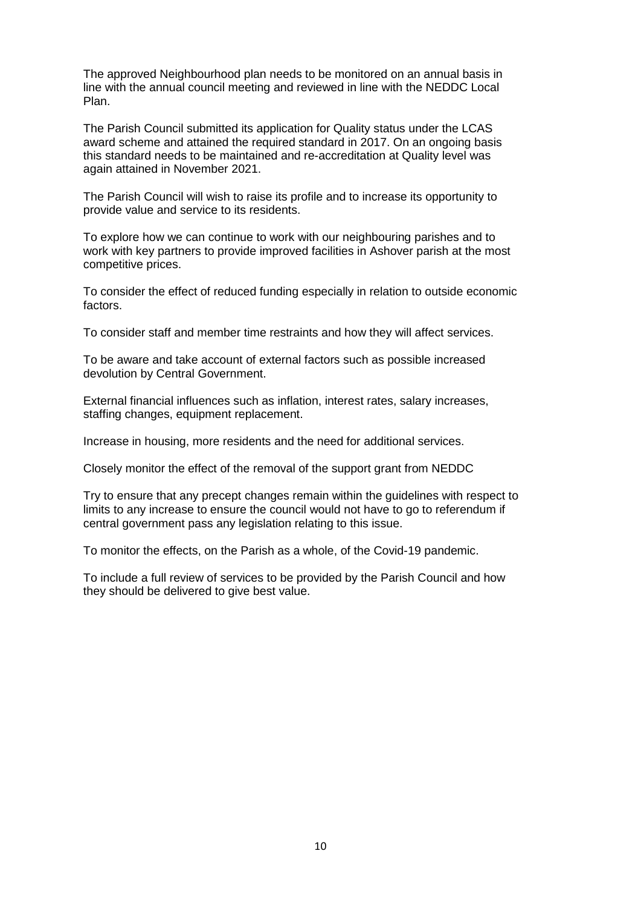The approved Neighbourhood plan needs to be monitored on an annual basis in line with the annual council meeting and reviewed in line with the NEDDC Local Plan.

The Parish Council submitted its application for Quality status under the LCAS award scheme and attained the required standard in 2017. On an ongoing basis this standard needs to be maintained and re-accreditation at Quality level was again attained in November 2021.

The Parish Council will wish to raise its profile and to increase its opportunity to provide value and service to its residents.

To explore how we can continue to work with our neighbouring parishes and to work with key partners to provide improved facilities in Ashover parish at the most competitive prices.

To consider the effect of reduced funding especially in relation to outside economic factors.

To consider staff and member time restraints and how they will affect services.

To be aware and take account of external factors such as possible increased devolution by Central Government.

External financial influences such as inflation, interest rates, salary increases, staffing changes, equipment replacement.

Increase in housing, more residents and the need for additional services.

Closely monitor the effect of the removal of the support grant from NEDDC

Try to ensure that any precept changes remain within the guidelines with respect to limits to any increase to ensure the council would not have to go to referendum if central government pass any legislation relating to this issue.

To monitor the effects, on the Parish as a whole, of the Covid-19 pandemic.

To include a full review of services to be provided by the Parish Council and how they should be delivered to give best value.